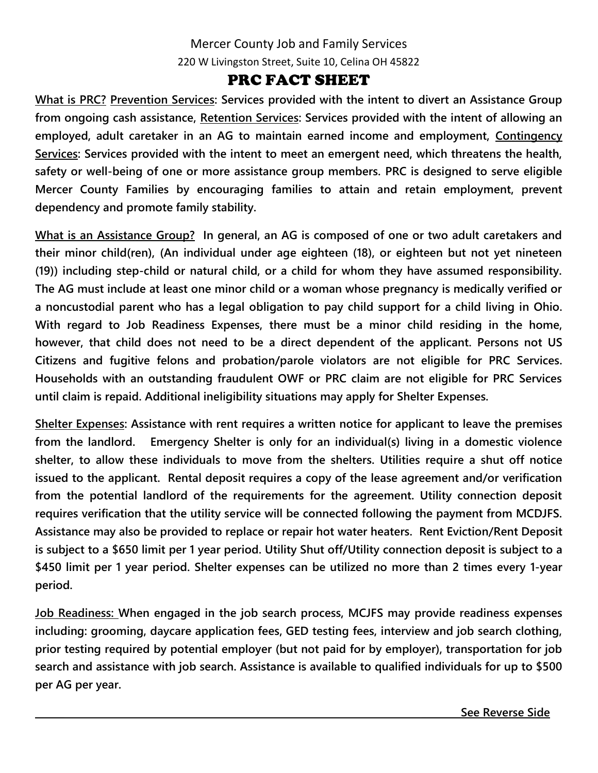## Mercer County Job and Family Services 220 W Livingston Street, Suite 10, Celina OH 45822

## PRC FACT SHEET

**What is PRC? Prevention Services: Services provided with the intent to divert an Assistance Group from ongoing cash assistance, Retention Services: Services provided with the intent of allowing an employed, adult caretaker in an AG to maintain earned income and employment, Contingency Services: Services provided with the intent to meet an emergent need, which threatens the health, safety or well-being of one or more assistance group members. PRC is designed to serve eligible Mercer County Families by encouraging families to attain and retain employment, prevent dependency and promote family stability.**

**What is an Assistance Group? In general, an AG is composed of one or two adult caretakers and their minor child(ren), (An individual under age eighteen (18), or eighteen but not yet nineteen (19)) including step-child or natural child, or a child for whom they have assumed responsibility. The AG must include at least one minor child or a woman whose pregnancy is medically verified or a noncustodial parent who has a legal obligation to pay child support for a child living in Ohio. With regard to Job Readiness Expenses, there must be a minor child residing in the home, however, that child does not need to be a direct dependent of the applicant. Persons not US Citizens and fugitive felons and probation/parole violators are not eligible for PRC Services. Households with an outstanding fraudulent OWF or PRC claim are not eligible for PRC Services until claim is repaid. Additional ineligibility situations may apply for Shelter Expenses.**

**Shelter Expenses: Assistance with rent requires a written notice for applicant to leave the premises from the landlord. Emergency Shelter is only for an individual(s) living in a domestic violence shelter, to allow these individuals to move from the shelters. Utilities require a shut off notice issued to the applicant. Rental deposit requires a copy of the lease agreement and/or verification from the potential landlord of the requirements for the agreement. Utility connection deposit requires verification that the utility service will be connected following the payment from MCDJFS. Assistance may also be provided to replace or repair hot water heaters. Rent Eviction/Rent Deposit is subject to a \$650 limit per 1 year period. Utility Shut off/Utility connection deposit is subject to a \$450 limit per 1 year period. Shelter expenses can be utilized no more than 2 times every 1-year period.** 

**Job Readiness: When engaged in the job search process, MCJFS may provide readiness expenses including: grooming, daycare application fees, GED testing fees, interview and job search clothing, prior testing required by potential employer (but not paid for by employer), transportation for job search and assistance with job search. Assistance is available to qualified individuals for up to \$500 per AG per year.**